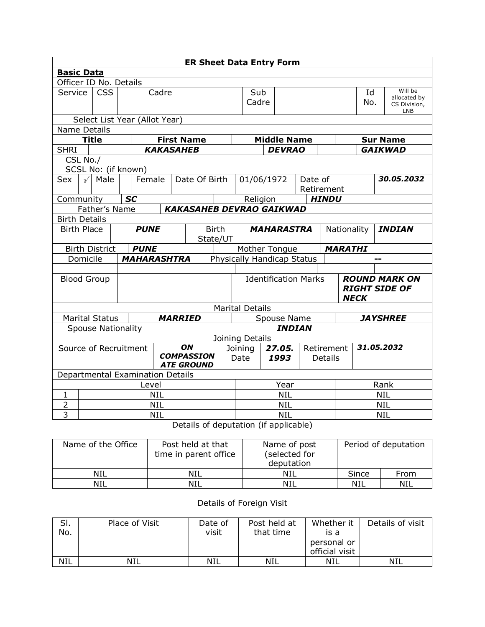| <b>ER Sheet Data Entry Form</b>                                       |                                               |  |           |                    |                                               |                                                                                 |  |                       |                                   |             |               |                                              |               |                |                                                       |                 |
|-----------------------------------------------------------------------|-----------------------------------------------|--|-----------|--------------------|-----------------------------------------------|---------------------------------------------------------------------------------|--|-----------------------|-----------------------------------|-------------|---------------|----------------------------------------------|---------------|----------------|-------------------------------------------------------|-----------------|
| <b>Basic Data</b>                                                     |                                               |  |           |                    |                                               |                                                                                 |  |                       |                                   |             |               |                                              |               |                |                                                       |                 |
| Officer ID No. Details                                                |                                               |  |           |                    |                                               |                                                                                 |  |                       |                                   |             |               |                                              |               |                |                                                       |                 |
| Service                                                               | <b>CSS</b><br>Cadre                           |  |           |                    |                                               |                                                                                 |  | Sub<br>Cadre          |                                   |             |               |                                              |               | Id<br>No.      | Will be<br>allocated by<br>CS Division,<br><b>LNB</b> |                 |
| Select List Year (Allot Year)                                         |                                               |  |           |                    |                                               |                                                                                 |  |                       |                                   |             |               |                                              |               |                |                                                       |                 |
|                                                                       | Name Details<br><b>Middle Name</b>            |  |           |                    |                                               |                                                                                 |  |                       |                                   |             |               |                                              |               |                |                                                       |                 |
|                                                                       | <b>Title</b>                                  |  |           |                    |                                               | <b>First Name</b>                                                               |  |                       |                                   |             |               |                                              |               |                |                                                       | <b>Sur Name</b> |
| <b>SHRI</b>                                                           |                                               |  |           |                    |                                               | <b>KAKASAHEB</b>                                                                |  |                       |                                   |             | <b>DEVRAO</b> |                                              |               |                |                                                       | <b>GAIKWAD</b>  |
| CSL No./<br>SCSL No: (if known)                                       |                                               |  |           |                    |                                               |                                                                                 |  |                       |                                   |             |               |                                              |               |                |                                                       |                 |
| <b>Sex</b>                                                            | $\sqrt{ }$<br>Male<br>Female<br>Date Of Birth |  |           |                    | 01/06/1972                                    |                                                                                 |  | Date of<br>Retirement |                                   |             |               | 30.05.2032                                   |               |                |                                                       |                 |
| Community                                                             |                                               |  | <b>SC</b> |                    |                                               |                                                                                 |  |                       | Religion                          |             |               |                                              | <b>HINDU</b>  |                |                                                       |                 |
|                                                                       | Father's Name                                 |  |           |                    |                                               | <b>KAKASAHEB DEVRAO GAIKWAD</b>                                                 |  |                       |                                   |             |               |                                              |               |                |                                                       |                 |
| <b>Birth Details</b>                                                  |                                               |  |           |                    |                                               |                                                                                 |  |                       |                                   |             |               |                                              |               |                |                                                       |                 |
| <b>Birth Place</b><br><b>PUNE</b>                                     |                                               |  |           |                    | <b>Birth</b><br><b>MAHARASTRA</b><br>State/UT |                                                                                 |  |                       |                                   | Nationality |               |                                              | <b>INDIAN</b> |                |                                                       |                 |
| <b>Birth District</b>                                                 |                                               |  |           | <b>PUNE</b>        |                                               |                                                                                 |  |                       | Mother Tongue                     |             |               |                                              |               | <b>MARATHI</b> |                                                       |                 |
| Domicile                                                              |                                               |  |           | <b>MAHARASHTRA</b> |                                               |                                                                                 |  |                       | <b>Physically Handicap Status</b> |             |               |                                              |               |                |                                                       |                 |
|                                                                       |                                               |  |           |                    |                                               |                                                                                 |  |                       |                                   |             |               |                                              |               |                |                                                       |                 |
| <b>Blood Group</b>                                                    |                                               |  |           |                    |                                               | <b>Identification Marks</b><br><b>NECK</b>                                      |  |                       |                                   |             |               | <b>ROUND MARK ON</b><br><b>RIGHT SIDE OF</b> |               |                |                                                       |                 |
|                                                                       |                                               |  |           |                    |                                               |                                                                                 |  |                       | <b>Marital Details</b>            |             |               |                                              |               |                |                                                       |                 |
| <b>Marital Status</b>                                                 |                                               |  |           |                    |                                               | <b>MARRIED</b>                                                                  |  |                       |                                   |             | Spouse Name   |                                              |               |                |                                                       | <b>JAYSHREE</b> |
| <b>Spouse Nationality</b>                                             |                                               |  |           |                    |                                               |                                                                                 |  |                       |                                   |             | <b>INDIAN</b> |                                              |               |                |                                                       |                 |
|                                                                       |                                               |  |           |                    |                                               |                                                                                 |  |                       | Joining Details                   |             |               |                                              |               |                |                                                       |                 |
| ON<br>Source of Recruitment<br><b>COMPASSION</b><br><b>ATE GROUND</b> |                                               |  |           |                    |                                               | 31.05.2032<br>27.05.<br>Retirement<br>Joining<br>1993<br>Date<br><b>Details</b> |  |                       |                                   |             |               |                                              |               |                |                                                       |                 |
| Departmental Examination Details                                      |                                               |  |           |                    |                                               |                                                                                 |  |                       |                                   |             |               |                                              |               |                |                                                       |                 |
|                                                                       | Level                                         |  |           |                    |                                               |                                                                                 |  |                       | Year                              |             |               |                                              | Rank          |                |                                                       |                 |
| 1                                                                     |                                               |  |           |                    | <b>NIL</b>                                    |                                                                                 |  |                       | <b>NIL</b>                        |             |               |                                              |               | <b>NIL</b>     |                                                       |                 |
| $\overline{2}$                                                        |                                               |  |           |                    | <b>NIL</b>                                    |                                                                                 |  |                       | <b>NIL</b>                        |             |               |                                              | <b>NIL</b>    |                |                                                       |                 |
| $\overline{3}$                                                        |                                               |  |           |                    | <b>NIL</b>                                    |                                                                                 |  |                       |                                   |             | <b>NIL</b>    |                                              |               |                |                                                       | <b>NIL</b>      |
|                                                                       | Details of deputation (if applicable)         |  |           |                    |                                               |                                                                                 |  |                       |                                   |             |               |                                              |               |                |                                                       |                 |

| Name of the Office | Post held at that<br>time in parent office | Name of post<br>(selected for<br>deputation | Period of deputation |      |  |
|--------------------|--------------------------------------------|---------------------------------------------|----------------------|------|--|
| NIL                | NIL                                        | NIL                                         | Since                | From |  |
| <b>NIL</b>         | NIL                                        | NIL                                         | NIL                  | NIL  |  |

## Details of Foreign Visit

| SI.<br>No. | Place of Visit | Date of<br>visit | Post held at<br>that time | Whether it<br>ıs a<br>personal or<br>official visit | Details of visit |
|------------|----------------|------------------|---------------------------|-----------------------------------------------------|------------------|
| <b>NIL</b> | NIL            | <b>NIL</b>       | NIL                       | NIL                                                 | NIL              |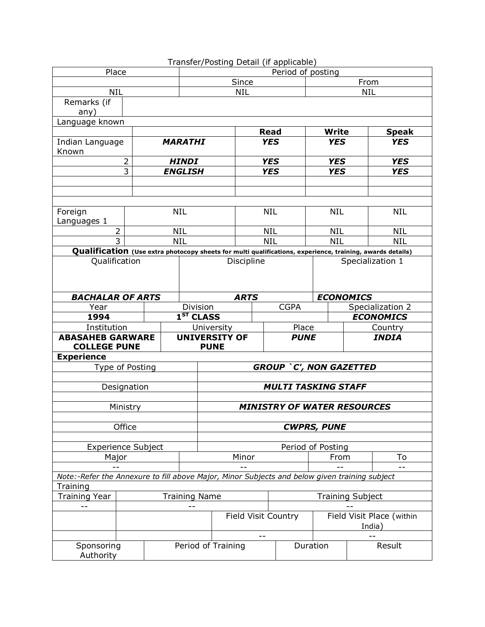|                                                                                                           |             |                |                                   |                                                    |             | Transfer/Posting Detail (if applicable) |                           |            |                  |  |  |
|-----------------------------------------------------------------------------------------------------------|-------------|----------------|-----------------------------------|----------------------------------------------------|-------------|-----------------------------------------|---------------------------|------------|------------------|--|--|
| Place                                                                                                     |             |                |                                   | Period of posting                                  |             |                                         |                           |            |                  |  |  |
|                                                                                                           |             |                |                                   | Since                                              |             |                                         |                           | From       |                  |  |  |
| <b>NIL</b>                                                                                                |             |                |                                   | <b>NIL</b><br><b>NIL</b>                           |             |                                         |                           |            |                  |  |  |
| Remarks (if                                                                                               |             |                |                                   |                                                    |             |                                         |                           |            |                  |  |  |
| any)                                                                                                      |             |                |                                   |                                                    |             |                                         |                           |            |                  |  |  |
| Language known                                                                                            |             |                |                                   |                                                    |             |                                         |                           |            |                  |  |  |
|                                                                                                           |             |                |                                   |                                                    | <b>Read</b> |                                         | <b>Write</b>              |            | <b>Speak</b>     |  |  |
| Indian Language                                                                                           |             |                | <b>MARATHI</b>                    |                                                    | <b>YES</b>  |                                         | <b>YES</b>                |            | <b>YES</b>       |  |  |
| Known                                                                                                     |             |                |                                   |                                                    |             |                                         |                           |            |                  |  |  |
|                                                                                                           |             | <b>HINDI</b>   |                                   | <b>YES</b>                                         |             | <b>YES</b>                              |                           | <b>YES</b> |                  |  |  |
|                                                                                                           |             | <b>ENGLISH</b> |                                   | <b>YES</b>                                         |             | <b>YES</b>                              |                           | <b>YES</b> |                  |  |  |
|                                                                                                           |             |                |                                   |                                                    |             |                                         |                           |            |                  |  |  |
|                                                                                                           |             |                |                                   |                                                    |             |                                         |                           |            |                  |  |  |
|                                                                                                           |             |                |                                   |                                                    |             |                                         |                           |            |                  |  |  |
| Foreign                                                                                                   |             |                | <b>NIL</b>                        |                                                    | <b>NIL</b>  |                                         | <b>NIL</b>                |            | <b>NIL</b>       |  |  |
| Languages 1                                                                                               |             |                |                                   |                                                    |             |                                         |                           |            |                  |  |  |
| $\overline{2}$                                                                                            |             |                | <b>NIL</b>                        |                                                    | <b>NIL</b>  |                                         | <b>NIL</b>                |            | <b>NIL</b>       |  |  |
| $\overline{3}$                                                                                            |             |                | <b>NIL</b>                        |                                                    | <b>NIL</b>  |                                         | <b>NIL</b>                |            | <b>NIL</b>       |  |  |
| Qualification (Use extra photocopy sheets for multi qualifications, experience, training, awards details) |             |                |                                   |                                                    |             |                                         |                           |            |                  |  |  |
| Qualification                                                                                             |             |                |                                   |                                                    | Discipline  |                                         |                           |            | Specialization 1 |  |  |
|                                                                                                           |             |                |                                   |                                                    |             |                                         |                           |            |                  |  |  |
|                                                                                                           |             |                |                                   |                                                    |             |                                         |                           |            |                  |  |  |
|                                                                                                           |             |                |                                   |                                                    |             |                                         |                           |            |                  |  |  |
| <b>BACHALAR OF ARTS</b>                                                                                   |             |                |                                   | <b>ARTS</b><br><b>CGPA</b>                         |             |                                         | <b>ECONOMICS</b>          |            |                  |  |  |
| Year                                                                                                      |             |                | Division<br>1 <sup>ST</sup> CLASS |                                                    |             |                                         | Specialization 2          |            |                  |  |  |
| 1994                                                                                                      |             |                |                                   |                                                    |             |                                         | <b>ECONOMICS</b>          |            |                  |  |  |
| Institution                                                                                               |             |                |                                   | Place<br>University                                |             |                                         |                           |            | Country          |  |  |
| <b>ABASAHEB GARWARE</b><br><b>COLLEGE PUNE</b>                                                            |             |                |                                   | <b>UNIVERSITY OF</b><br><b>PUNE</b><br><b>PUNE</b> |             |                                         |                           |            | <b>INDIA</b>     |  |  |
|                                                                                                           |             |                |                                   |                                                    |             |                                         |                           |            |                  |  |  |
| <b>Experience</b>                                                                                         |             |                |                                   |                                                    |             |                                         |                           |            |                  |  |  |
| Type of Posting                                                                                           |             |                |                                   |                                                    |             | <b>GROUP `C', NON GAZETTED</b>          |                           |            |                  |  |  |
|                                                                                                           |             |                |                                   | <b>MULTI TASKING STAFF</b>                         |             |                                         |                           |            |                  |  |  |
|                                                                                                           | Designation |                |                                   |                                                    |             |                                         |                           |            |                  |  |  |
|                                                                                                           |             |                |                                   |                                                    |             |                                         |                           |            |                  |  |  |
|                                                                                                           | Ministry    |                |                                   |                                                    |             | <b>MINISTRY OF WATER RESOURCES</b>      |                           |            |                  |  |  |
|                                                                                                           |             |                |                                   |                                                    |             |                                         |                           |            |                  |  |  |
|                                                                                                           | Office      |                |                                   | <b>CWPRS, PUNE</b>                                 |             |                                         |                           |            |                  |  |  |
|                                                                                                           |             |                |                                   |                                                    |             |                                         |                           |            |                  |  |  |
| <b>Experience Subject</b>                                                                                 |             |                |                                   |                                                    |             | Period of Posting                       |                           |            |                  |  |  |
| Major                                                                                                     |             |                |                                   | Minor                                              |             |                                         | From                      |            | To               |  |  |
|                                                                                                           |             |                |                                   |                                                    |             |                                         |                           |            |                  |  |  |
| Note:-Refer the Annexure to fill above Major, Minor Subjects and below given training subject             |             |                |                                   |                                                    |             |                                         |                           |            |                  |  |  |
| Training<br><b>Training Name</b>                                                                          |             |                |                                   |                                                    |             |                                         |                           |            |                  |  |  |
| <b>Training Year</b>                                                                                      |             |                |                                   |                                                    |             |                                         | <b>Training Subject</b>   |            |                  |  |  |
|                                                                                                           |             |                |                                   |                                                    |             |                                         |                           |            |                  |  |  |
|                                                                                                           |             |                |                                   | Field Visit Country                                |             |                                         | Field Visit Place (within |            |                  |  |  |
|                                                                                                           |             |                |                                   |                                                    |             |                                         | India)                    |            |                  |  |  |
|                                                                                                           |             |                |                                   |                                                    |             |                                         |                           |            |                  |  |  |
| Sponsoring                                                                                                |             |                |                                   | Period of Training                                 |             |                                         | Duration                  |            | Result           |  |  |
| Authority                                                                                                 |             |                |                                   |                                                    |             |                                         |                           |            |                  |  |  |